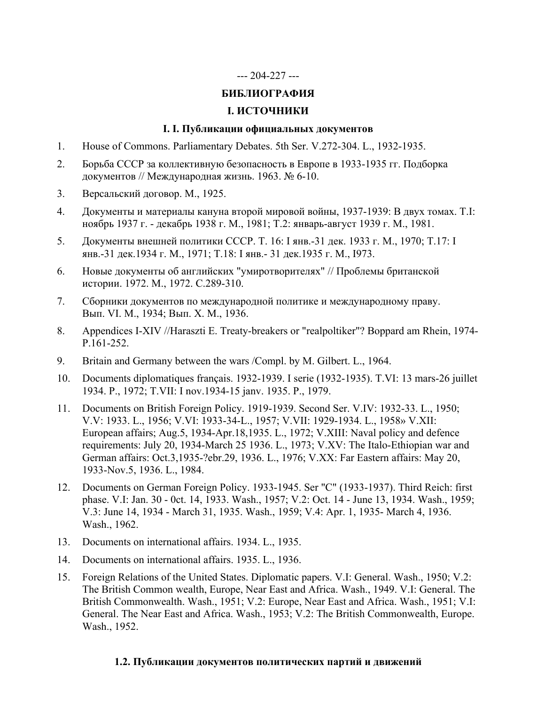# --- 204-227 ---

# **БИБЛИОГРАФИЯ**

# **I. ИСТОЧНИКИ**

## **I. I. Публикации официальных документов**

- 1. House of Commons. Parliamentary Debates. 5th Ser. V.272-304. L., 1932-1935.
- 2. Борьба СССР за коллективную безопасность в Европе в 1933-1935 гг. Подборка документов // Международная жизнь. 1963. № 6-10.
- 3. Версальский договор. М., 1925.
- 4. Документы и материалы кануна второй мировой войны, 1937-1939: В двух томах. T.I: ноябрь 1937 г. - декабрь 1938 г. М., 1981; Т.2: январь-август 1939 г. М., 1981.
- 5. Документы внешней политики СССР. Т. 16: I янв.-31 дек. 1933 г. М., 1970; Т.17: I янв.-31 дек.1934 г. М., 1971; Т.18: I янв.- 31 дек.1935 г. М., 1973.
- 6. Новые документы об английских "умиротворителях" // Проблемы британской истории. 1972. М., 1972. С.289-310.
- 7. Сборники документов по международной политике и международному праву. Вып. VI. М., 1934; Вып. Х. М., 1936.
- 8. Appendices I-XIV //Haraszti E. Treaty-breakers or "realpoltiker"? Boppard am Rhein, 1974- P.161-252.
- 9. Britain and Germany between the wars /Compl. by M. Gilbert. L., 1964.
- 10. Documents diplomatiques français. 1932-1939. I serie (1932-1935). T.VI: 13 mars-26 juillet 1934. P., 1972; T.VII: I nov.1934-15 janv. 1935. P., 1979.
- 11. Documents on Вritish Foreign Policy. 1919-1939. Second Ser. V.IV: 1932-33. L., 1950; V.V: 1933. L., 1956; V.VI: 1933-34-L., 1957; V.VII: 1929-1934. L., 1958» V.XII: European affairs; Aug.5, 1934-Apr.18,1935. L., 1972; V.XIII: Naval policy and defence requirements: July 20, 1934-March 25 1936. L., 1973; V.XV: The Italo-Ethiopian war and German affairs: Oct.3,1935-?ebr.29, 1936. L., 1976; V.XX: Far Eastern affairs: May 20, 1933-Nov.5, 1936. L., 1984.
- 12. Documents on German Foreign Policy. 1933-1945. Ser "С" (1933-1937). Third Reich: first phase. V.I: Jan. 30 - 0ct. 14, 1933. Wash., 1957; V.2: Oct. 14 - June 13, 1934. Wash., 1959; V.3: June 14, 1934 - March 31, 1935. Wash., 1959; V.4: Apr. 1, 1935- March 4, 1936. Wash., 1962.
- 13. Documents on international affairs. 1934. L., 1935.
- 14. Documents on international affairs. 1935. L., 1936.
- 15. Foreign Relations of the United States. Diplomatic papers. V.I: General. Wash., 1950; V.2: The British Common wealth, Europe, Near East and Africa. Wash., 1949. V.I: General. The British Commonwealth. Wash., 1951; V.2: Europe, Near East and Africa. Wash., 1951; V.I: General. The Near East and Africa. Wash., 1953; V.2: The British Commonwealth, Europe. Wash., 1952.

## **1.2. Публикации документов политических партий и движений**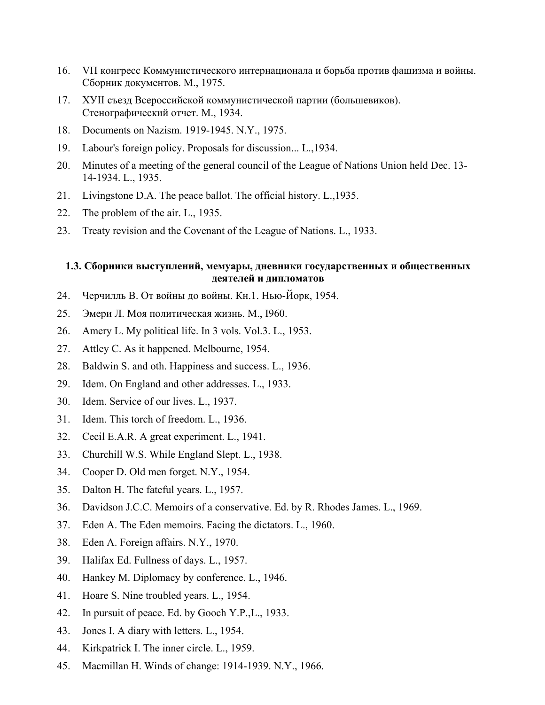- 16. VП конгресс Коммунистического интернационала и борьба против фашизма и войны. Сборник документов. М., 1975.
- 17. ХУII съезд Всероссийской коммунистической партии (большевиков). Стенографический отчет. М., 1934.
- 18. Documents on Nazism. 1919-1945. N.Y., 1975.
- 19. Labour's foreign policy. Proposals for discussion... L.,1934.
- 20. Minutes of a meeting of the general council of the League of Nations Union held Dec. 13- 14-1934. L., 1935.
- 21. Livingstone D.A. The peace ballot. The official history. L.,1935.
- 22. The problem of the air. L., 1935.
- 23. Treaty revision and the Covenant of the League of Nations. L., 1933.

# **1.3. Сборники выступлений, мемуары, дневники государственных и общественных деятелей и дипломатов**

- 24. Черчилль В. От войны до войны. Кн.1. Нью-Йорк, 1954.
- 25. Эмери Л. Моя политическая жизнь. М., I960.
- 26. Amery L. My political life. In 3 vols. Vol.3. L., 1953.
- 27. Attley C. As it happened. Melbourne, 1954.
- 28. Baldwin S. and oth. Happiness and success. L., 1936.
- 29. Idem. On England and other addresses. L., 1933.
- 30. Idem. Service of our lives. L., 1937.
- 31. Idem. This torch of freedom. L., 1936.
- 32. Cecil E.A.R. A great experiment. L., 1941.
- 33. Churchill W.S. While England Slept. L., 1938.
- 34. Cooper D. Old men forget. N.Y., 1954.
- 35. Dalton H. The fateful years. L., 1957.
- 36. Davidson J.C.C. Memoirs of a conservative. Ed. by R. Rhodes James. L., 1969.
- 37. Eden A. The Eden memoirs. Facing the dictators. L., 1960.
- 38. Eden A. Foreign affairs. N.Y., 1970.
- 39. Halifax Ed. Fullness of days. L., 1957.
- 40. Hankey M. Diplomacy by conference. L., 1946.
- 41. Hoare S. Nine troubled years. L., 1954.
- 42. In pursuit of peace. Ed. by Gooch Y.P.,L., 1933.
- 43. Jones I. A diary with letters. L., 1954.
- 44. Kirkpatrick I. The inner circle. L., 1959.
- 45. Macmillan H. Winds of change: 1914-1939. N.Y., 1966.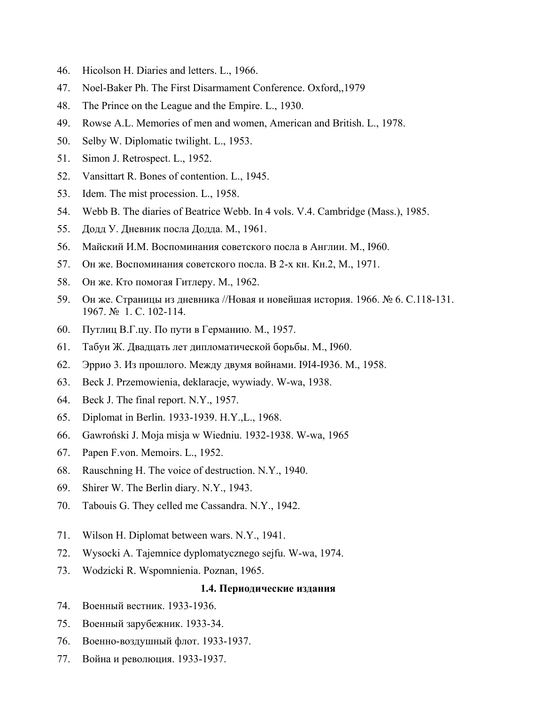- 46. Hicolson H. Diaries and letters. L., 1966.
- 47. Noel-Baker Ph. The First Disarmament Conference. Oxford,,1979
- 48. The Prince on the League and the Empire. L., 1930.
- 49. Rowse A.L. Memories of men and women, American and British. L., 1978.
- 50. Selby W. Diplomatic twilight. L., 1953.
- 51. Simon J. Retrospect. L., 1952.
- 52. Vansittart R. Bones of contention. L., 1945.
- 53. Idem. The mist procession. L., 1958.
- 54. Webb B. The diaries of Beatrice Webb. In 4 vols. V.4. Cambridge (Mass.), 1985.
- 55. Додд У. Дневник посла Додда. М., 1961.
- 56. Майский И.М. Воспоминания советского посла в Англии. М., I960.
- 57. Он же. Воспоминания советского посла. В 2-х кн. Кн.2, М., 1971.
- 58. Он же. Кто помогая Гитлеру. М., 1962.
- 59. Он же. Страницы из дневника //Новая и новейшая история. 1966. № 6. C.118-131. 1967. № 1. С. 102-114.
- 60. Путлиц В.Г.цу. По пути в Германию. М., 1957.
- 61. Табуи Ж. Двадцать лет дипломатической борьбы. М., I960.
- 62. Эррио 3. Из прошлого. Между двумя войнами. I9I4-I936. М., 1958.
- 63. Beck J. Przemowienia, deklaracje, wywiady. W-wa, 1938.
- 64. Beck J. The final report. N.Y., 1957.
- 65. Diplomat in Berlin. 1933-1939. H.Y.,L., 1968.
- 66. Gawroński J. Moja misja w Wiedniu. 1932-1938. W-wa, 1965
- 67. Papen F.von. Memoirs. L., 1952.
- 68. Rauschning H. The voice of destruction. N.Y., 1940.
- 69. Shirer W. The Berlin diary. N.Y., 1943.
- 70. Tabouis G. They celled me Cassandra. N.Y., 1942.
- 71. Wilson H. Diplomat between wars. N.Y., 1941.
- 72. Wysocki A. Tajemnice dyplomatycznego sejfu. W-wa, 1974.
- 73. Wodzicki R. Wspomnienia. Poznan, 1965.

## **1.4. Периодические издания**

- 74. Военный вестник. 1933-1936.
- 75. Военный зарубежник. 1933-34.
- 76. Военно-воздушный флот. 1933-1937.
- 77. Война и революция. 1933-1937.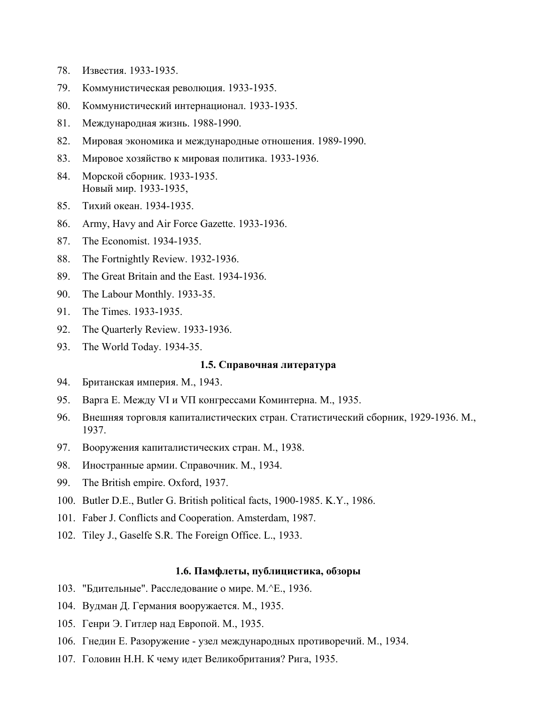- 78. Известия. 1933-1935.
- 79. Коммунистическая революция. 1933-1935.
- 80. Коммунистический интернационал. 1933-1935.
- 81. Международная жизнь. 1988-1990.
- 82. Мировая экономика и международные отношения. 1989-1990.
- 83. Мировое хозяйство к мировая политика. 1933-1936.
- 84. Морской сборник. 1933-1935. Новый мир. 1933-1935,
- 85. Тихий океан. 1934-1935.
- 86. Army, Havy and Air Force Gazettе. 1933-1936.
- 87. The Economist. 1934-1935.
- 88. The Fortnightly Review. 1932-1936.
- 89. The Great Britain and the East. 1934-1936.
- 90. The Labour Monthly. 1933-35.
- 91. The Times. 1933-1935.
- 92. The Quarterly Review. 1933-1936.
- 93. The World Today. 1934-35.

## **1.5. Справочная литература**

- 94. Британская империя. М., 1943.
- 95. Варга Е. Между VI и VП конгрессами Коминтерна. М., 1935.
- 96. Внешняя торговля капиталистических стран. Статистический сборник, 1929-1936. М., 1937.
- 97. Вооружения капиталистических стран. М., 1938.
- 98. Иностранные армии. Справочник. М., 1934.
- 99. The British empire. Oxford, 1937.
- 100. Butler D.E., Butler G. British political facts, 1900-1985. K.Y., 1986.
- 101. Faber J. Conflicts and Cooperation. Amsterdam, 1987.
- 102. Tiley J., Gaselfe S.R. The Foreign Office. L., 1933.

### **1.6. Памфлеты, публицистика, обзоры**

- 103. "Бдительные". Расследование о мире. М.^Е., 1936.
- 104. Вудман Д. Германия вооружается. М., 1935.
- 105. Генри Э. Гитлер над Европой. М., 1935.
- 106. Гнедин Е. Разоружение узел международных противоречий. М., 1934.
- 107. Головин Н.Н. К чему идет Великобритания? Рига, 1935.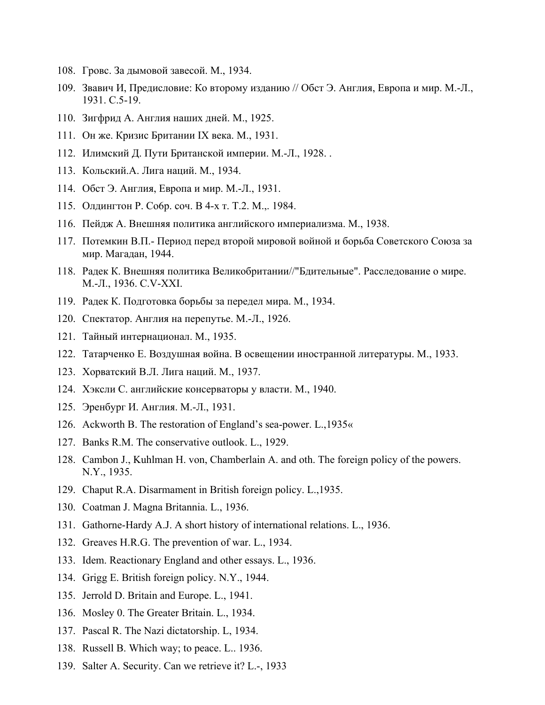- 108. Гровс. За дымовой завесой. М., 1934.
- 109. Звавич И, Предисловие: Ко второму изданию // Обст Э. Англия, Европа и мир. М.-Л., 1931. С.5-19.
- 110. Зигфрид А. Англия наших дней. М., 1925.
- 111. Он же. Кризис Британии IX века. М., 1931.
- 112. Илимский Д. Пути Британской империи. M.-Л., 1928. .
- 113. Кольский.А. Лига наций. М., 1934.
- 114. Обст Э. Англия, Европа и мир. М.-Л., 1931.
- 115. Олдингтон P. Co6p. coч. B 4-х т. Т.2. М.,. 1984.
- 116. Пейдж А. Внешняя политика английского империализма. М., 1938.
- 117. Потемкин В.П.- Период перед второй мировой войной и борьба Советского Союза за мир. Магадан, 1944.
- 118. Радек К. Внешняя политика Великобритании//"Бдительные". Расследование о мире. М.-Л., 1936. С.V-XXI.
- 119. Радек К. Подготовка борьбы за передел мира. М., 1934.
- 120. Спектатор. Англия на перепутье. М.-Л., 1926.
- 121. Тайный интернационал. М., 1935.
- 122. Татарченко E. Воздушная война. В освещении иностранной литературы. М., 1933.
- 123. Хорватский В.Л. Лига наций. М., 1937.
- 124. Хэксли С. английские консерваторы у власти. М., 1940.
- 125. Эренбург И. Англия. М.-Л., 1931.
- 126. Ackworth В. The restoration of England's sea-power. L.,1935«
- 127. Banks R.M. The conservative outlook. L., 1929.
- 128. Cambon J., Kuhlman H. von, Chamberlain A. and oth. The foreign policy of the powers. N.Y., 1935.
- 129. Chaput R.A. Disarmament in British foreign policy. L.,1935.
- 130. Coatman J. Magna Britannia. L., 1936.
- 131. Gathorne-Hardy A.J. A short history of international relations. L., 1936.
- 132. Greaves H.R.G. The prevention of war. L., 1934.
- 133. Idem. Reactionary England and other essays. L., 1936.
- 134. Grigg E. British foreign policy. N.Y., 1944.
- 135. Jerrold D. Britain and Europe. L., 1941.
- 136. Mosley 0. The Greater Britain. L., 1934.
- 137. Pascal R. The Nazi dictatorship. L, 1934.
- 138. Russell B. Which way; to peace. L.. 1936.
- 139. Salter A. Security. Can we retrieve it? L.-, 1933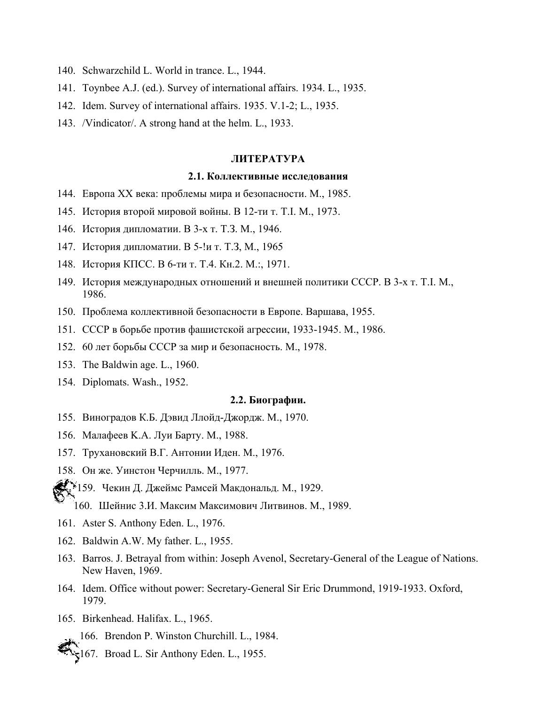- 140. Schwarzchild L. World in trance. L., 1944.
- 141. Toynbee A.J. (ed.). Survey of international affairs. 1934. L., 1935.
- 142. Idem. Survey of international affairs. 1935. V.1-2; L., 1935.
- 143. /Vindicator/. A strong hand at the helm. L., 1933.

#### **ЛИТЕРАТУРА**

### **2.1. Коллективные исследования**

- 144. Европа XX века: проблемы мира и безопасности. М., 1985.
- 145. История второй мировой войны. В 12-ти т. T.I. М., 1973.
- 146. История дипломатии. В 3-х т. Т.З. М., 1946.
- 147. История дипломатии. В 5-!и т. Т.З, М., 1965
- 148. История КПСС. В 6-ти т. Т.4. Кн.2. М.:, 1971.
- 149. История международных отношений и внешней политики СССР. В 3-х т. T.I. М., 1986.
- 150. Проблема коллективной безопасности в Европе. Варшава, 1955.
- 151. СССР в борьбе против фашистской агрессии, 1933-1945. М., 1986.
- 152. 60 лет борьбы СССР за мир и безопасность. М., 1978.
- 153. The Baldwin age. L., 1960.
- 154. Diplomats. Wash., 1952.

#### **2.2. Биографии.**

- 155. Виноградов К.Б. Дэвид Ллойд-Джордж. М., 1970.
- 156. Малафеев K.А. Луи Барту. М., 1988.
- 157. Трухановский В.Г. Антонии Иден. М., 1976.
- 158. Он же. Уинстон Черчилль. М., 1977.
- $\mathbb{R}^{N_{\text{a}}}$ 159. Чекин Д. Джеймс Рамсей Макдональд. М., 1929.
	- 160. Шейнис 3.И. Максим Максимович Литвинов. М., 1989.
- 161. Aster S. Anthony Eden. L., 1976.
- 162. Baldwin A.W. My father. L., 1955.
- 163. Barros. J. Betrayal from within: Joseph Avenol, Secretary-General of the League of Nations. New Haven, 1969.
- 164. Idem. Office without power: Secretary-General Sir Eric Drummond, 1919-1933. Oxford, 1979.
- 165. Birkenhead. Halifax. L., 1965.

167. Broad L. Sir Anthony Eden. L., 1955.

<sup>166.</sup> Brendon P. Winston Churchill. L., 1984.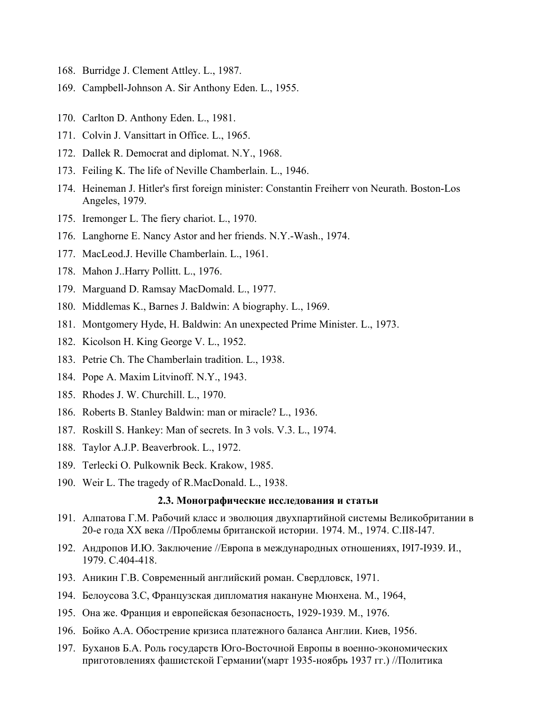- 168. Burridge J. Clement Attley. L., 1987.
- 169. Campbell-Johnson A. Sir Anthony Eden. L., 1955.
- 170. Carlton D. Anthony Eden. L., 1981.
- 171. Colvin J. Vansittart in Office. L., 1965.
- 172. Dallek R. Democrat and diplomat. N.Y., 1968.
- 173. Feiling K. The life of Neville Chamberlain. L., 1946.
- 174. Heineman J. Hitler's first foreign minister: Constantin Freiherr von Neurath. Boston-Los Angeles, 1979.
- 175. Iremonger L. The fiery chariot. L., 1970.
- 176. Langhorne E. Nancy Astor and her friends. N.Y.-Wash., 1974.
- 177. MacLeod.J. Heville Chamberlain. L., 1961.
- 178. Mahon J..Harry Pollitt. L., 1976.
- 179. Marguand D. Ramsay MacDomald. L., 1977.
- 180. Middlemas K., Barnes J. Baldwin: A biography. L., 1969.
- 181. Montgomery Hyde, H. Baldwin: An unexpected Prime Minister. L., 1973.
- 182. Kicolson H. King George V. L., 1952.
- 183. Petrie Ch. The Сhamberlain tradition. L., 1938.
- 184. Pope A. Maxim Litvinoff. N.Y., 1943.
- 185. Rhodes J. W. Churchill. L., 1970.
- 186. Roberts B. Stanley Baldwin: man or miracle? L., 1936.
- 187. Roskill S. Hankey: Man of secrets. In 3 vols. V.3. L., 1974.
- 188. Taylor A.J.P. Beaverbrook. L., 1972.
- 189. Terlecki O. Pulkownik Beck. Krakow, 1985.
- 190. Weir L. The tragedy of R.MacDonald. L., 1938.

#### **2.3. Монографические исследования и статьи**

- 191. Алпатова Г.М. Рабочий класс и эволюция двухпартийной системы Великобритании в 20-е года XX века //Проблемы британской истории. 1974. М., 1974. C.II8-I47.
- 192. Андропов И.Ю. Заключение //Европа в международных отношениях, I9I7-I939. И., 1979. С.404-418.
- 193. Аникин Г.В. Современный английский роман. Свердловск, 1971.
- 194. Белоусова З.С, Французская дипломатия накануне Мюнхена. М., 1964,
- 195. Она же. Франция и европейская безопасность, 1929-1939. М., 1976.
- 196. Бойко А.А. Обострение кризиса платежного баланса Англии. Киев, 1956.
- 197. Буханов Б.А. Роль государств Юго-Восточной Европы в военно-экономических приготовлениях фашистской Германии'(март 1935-ноябрь 1937 гг.) //Политика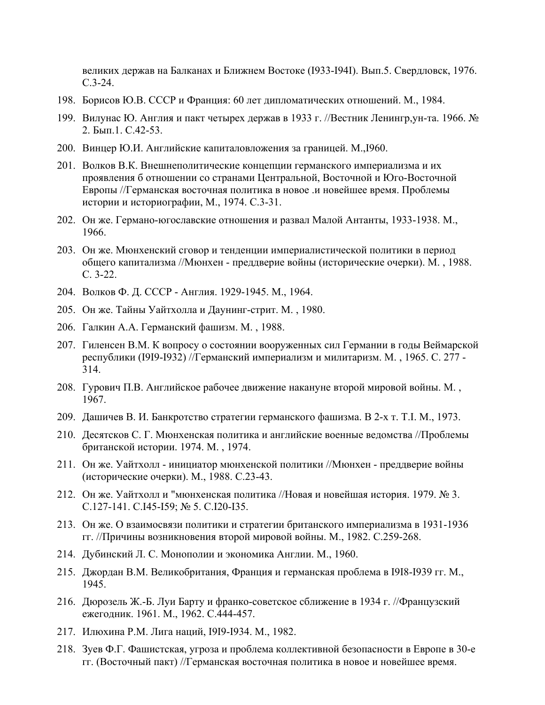великих держав на Балканах и Ближнем Востоке (I933-I94I). Вып.5. Свердловск, 1976. С.3-24.

- 198. Борисов Ю.В. СССР и Франция: 60 лет дипломатических отношений. М., 1984.
- 199. Вилунас Ю. Англия и пакт четырех держав в 1933 г. //Вестник Ленингр,ун-та. 1966. № 2. Бып.1. С.42-53.
- 200. Винцер Ю.И. Английские капиталовложения за границей. М.,I960.
- 201. Волков В.К. Внешнеполитические концепции германского империализма и их проявления б отношении со странами Центральной, Восточной и Юго-Восточной Европы //Германская восточная политика в новое .и новейшее время. Проблемы истории и историографии, М., 1974. С.3-31.
- 202. Он же. Германо-югославские отношения и развал Малой Антанты, 1933-1938. М., 1966.
- 203. Он же. Мюнхенский сговор и тенденции империалистической политики в период общего капитализма //Мюнхен - преддверие войны (исторические очерки). М. , 1988. С. 3-22.
- 204. Волков Ф. Д. СССР Англия. 1929-1945. М., 1964.
- 205. Он же. Тайны Уайтхолла и Даунинг-стрит. М. , 1980.
- 206. Галкин А.А. Германский фашизм. М. , 1988.
- 207. Гиленсен В.М. К вопросу о состоянии вооруженных сил Германии в годы Веймарской республики (I9I9-I932) //Германский империализм и милитаризм. М. , 1965. С. 277 - 314.
- 208. Гурович П.В. Английское рабочее движение накануне второй мировой войны. М. , 1967.
- 209. Дашичев В. И. Банкротство стратегии германского фашизма. В 2-х т. T.I. М., 1973.
- 210. Десятсков С. Г. Мюнхенская политика и английские военные ведомства //Проблемы британской истории. 1974. М. , 1974.
- 211. Он же. Уайтхолл инициатор мюнхенской политики //Мюнхен преддверие войны (исторические очерки). М., 1988. С.23-43.
- 212. Он же. Уайтхолл и "мюнхенская политика //Новая и новейшая история. 1979. № 3. C.127-141. C.I45-I59; № 5. C.I20-I35.
- 213. Он же. О взаимосвязи политики и стратегии британского империализма в 1931-1936 гг. //Причины возникновения второй мировой войны. М., 1982. С.259-268.
- 214. Дубинский Л. С. Монополии и экономика Англии. М., 1960.
- 215. Джордан В.М. Великобритания, Франция и германская проблема в I9I8-I939 гг. М., 1945.
- 216. Дюрозель Ж.-Б. Луи Барту и франко-советское сближение в 1934 г. //Французский ежегодник. 1961. М., 1962. С.444-457.
- 217. Илюхина P.M. Лига наций, I9I9-I934. М., 1982.
- 218. Зуев Ф.Г. Фашистская, угроза и проблема коллективной безопасности в Европе в 30-е гг. (Восточный пакт) //Германская восточная политика в новое и новейшее время.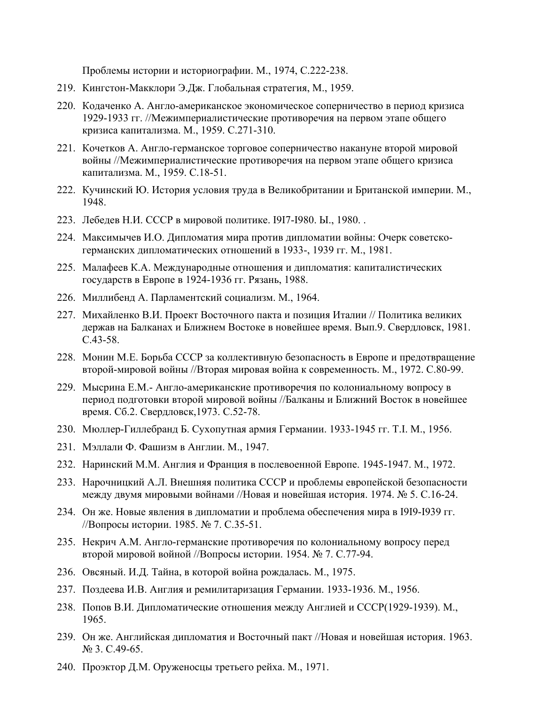Проблемы истории и историографии. М., 1974, С.222-238.

- 219. Кингстон-Макклори Э.Дж. Глобальная стратегия, М., 1959.
- 220. Кодаченко А. Англо-американское экономическое соперничество в период кризиса 1929-1933 гг. //Межимпериалистические противоречия на первом этапе общего кризиса капитализма. М., 1959. С.271-310.
- 221. Кочетков А. Англо-германское торговое соперничество накануне второй мировой войны //Межимпериалистические противоречия на первом этапе общего кризиса капитализма. М., 1959. С.18-51.
- 222. Кучинский Ю. История условия труда в Великобритании и Британской империи. М., 1948.
- 223. Лебедев Н.И. СССР в мировой политике. I9I7-I980. Ы., 1980. .
- 224. Максимычев И.О. Дипломатия мира против дипломатии войны: Очерк советскогерманских дипломатических отношений в 1933-, 1939 гг. М., 1981.
- 225. Малафеев К.А. Международные отношения и дипломатия: капиталистических государств в Европе в 1924-1936 гг. Рязань, 1988.
- 226. Миллибенд А. Парламентский социализм. М., 1964.
- 227. Михайленко В.И. Проект Восточного пакта и позиция Италии // Политика великих держав на Балканах и Ближнем Востоке в новейшее время. Вып.9. Свердловск, 1981. С.43-58.
- 228. Монин М.Е. Борьба СССР за коллективную безопасность в Европе и предотвращение второй-мировой войны //Вторая мировая война к современность. М., 1972. С.80-99.
- 229. Мысрина Е.М.- Англо-американские противоречия по колониальному вопросу в период подготовки второй мировой войны //Балканы и Ближний Восток в новейшее время. Сб.2. Свердловск,1973. С.52-78.
- 230. Мюллер-Гиллебранд Б. Сухопутная армия Германии. 1933-1945 гг. T.I. М., 1956.
- 231. Мэллали Ф. Фашизм в Англии. М., 1947.
- 232. Наринский М.М. Англия и Франция в послевоенной Европе. 1945-1947. М., 1972.
- 233. Нарочницкий А.Л. Внешняя политика СССР и проблемы европейской безопасности между двумя мировыми войнами //Новая и новейшая история. 1974. № 5. С.16-24.
- 234. Он же. Новые явления в дипломатии и проблема обеспечения мира в I9I9-I939 гг. //Вопросы истории. 1985. № 7. С.35-51.
- 235. Некрич A.M. Англо-германские противоречия по колониальному вопросу перед второй мировой войной //Вопросы истории. 1954. № 7. С.77-94.
- 236. Овсяный. И.Д. Тайна, в которой война рождалась. М., 1975.
- 237. Поздеева И.В. Англия и ремилитаризация Германии. 1933-1936. М., 1956.
- 238. Попов В.И. Дипломатические отношения между Англией и СССР(1929-1939). М., 1965.
- 239. Он же. Английская дипломатия и Восточный пакт //Новая и новейшая история. 1963. № 3. С.49-65.
- 240. Проэктор Д.М. Оруженосцы третьего рейха. М., 1971.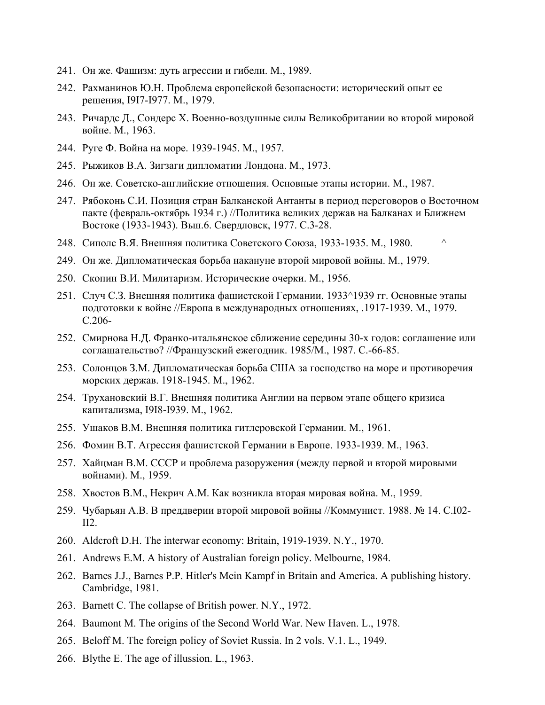- 241. Он же. Фашизм: дуть агрессии и гибели. М., 1989.
- 242. Рахманинов Ю.Н. Проблема европейской безопасности: исторический опыт ее решения, I9I7-I977. М., 1979.
- 243. Ричардс Д., Сондерс Х. Военно-воздушные силы Великобритании во второй мировой войне. М., 1963.
- 244. Руге Ф. Война на море. 1939-1945. М., 1957.
- 245. Рыжиков В.А. Зигзаги дипломатии Лондона. М., 1973.
- 246. Он же. Советско-английские отношения. Основные этапы истории. М., 1987.
- 247. Рябоконь С.И. Позиция стран Балканской Антанты в период переговоров о Восточном пакте (февраль-октябрь 1934 г.) //Политика великих держав на Балканах и Ближнем Востоке (1933-1943). Вьш.6. Свердловск, 1977. С.3-28.
- 248. Сиполс В.Я. Внешняя политика Советского Союза, 1933-1935. М., 1980. ^
- 249. Он же. Дипломатическая борьба накануне второй мировой войны. М., 1979.
- 250. Скопин В.И. Милитаризм. Исторические очерки. М., 1956.
- 251. Случ С.З. Внешняя политика фашистской Германии. 1933^1939 гг. Основные этапы подготовки к войне //Европа в международных отношениях, .1917-1939. М., 1979. С.206-
- 252. Смирнова Н.Д. Франко-итальянское сближение середины 30-х годов: соглашение или соглашательство? //Французский ежегодник. 1985/М., 1987. С.-66-85.
- 253. Солонцов З.М. Дипломатическая борьба США за господство на море и противоречия морских держав. 1918-1945. М., 1962.
- 254. Трухановский В.Г. Внешняя политика Англии на первом этапе общего кризиса капитализма, I9I8-I939. М., 1962.
- 255. Ушаков В.М. Внешняя политика гитлеровской Германии. М., 1961.
- 256. Фомин В.Т. Агрессия фашистской Германии в Европе. 1933-1939. М., 1963.
- 257. Хайцман В.М. СССР и проблема разоружения (между первой и второй мировыми войнами). М., 1959.
- 258. Хвостов В.М., Некрич A.M. Как возникла вторая мировая война. М., 1959.
- 259. Чубарьян А.В. В преддверии второй мировой войны //Коммунист. 1988. № 14. C.I02-  $II2$
- 260. Aldcroft D.H. The interwar economy: Britain, 1919-1939. N.Y., 1970.
- 261. Andrews E.M. A history of Australian foreign policy. Melbourne, 1984.
- 262. Barnes J.J., Barnes P.P. Hitler's Mein Kampf in Britain and America. A publishing history. Cambridge, 1981.
- 263. Barnett C. The collapse of British power. N.Y., 1972.
- 264. Baumont M. The origins of the Second World War. New Haven. L., 1978.
- 265. Beloff M. The foreign policy of Soviet Russia. In 2 vols. V.1. L., 1949.
- 266. Blythe E. The age of illussion. L., 1963.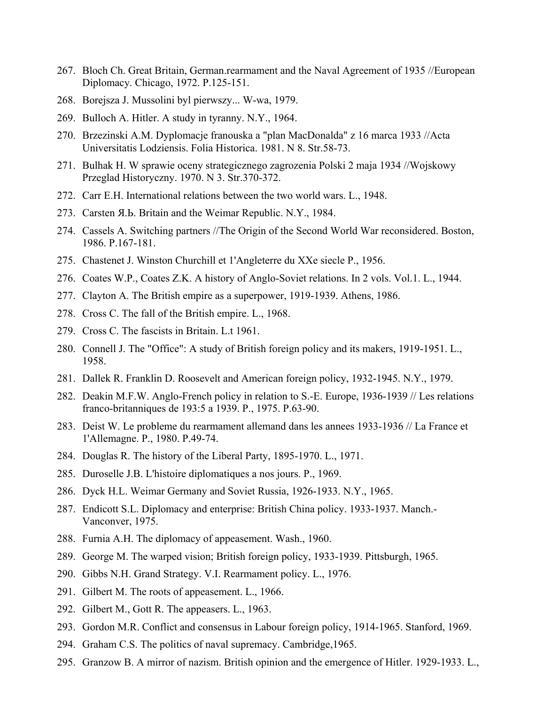- 267. Bloch Ch. Great Britain, German.rearmament and the Naval Agreement of 1935 //European Diplomacy. Chicago, 1972. P.125-151.
- 268. Borejsza J. Mussolini byl pierwszy... W-wa, 1979.
- 269. Bulloch A. Hitler. A study in tyranny. N.Y., 1964.
- 270. Brzezinski A.M. Dyplomacje franouska a "plan MacDonalda" z 16 marca 1933 //Acta Universitatis Lodziensis. Folia Historica. 1981. N 8. Str.58-73.
- 271. Bulhak H. W sprawie oceny strategicznego zagrozenia Polski 2 maja 1934 //Wojskowy Przeglad Historyczny. 1970. N 3. Str.370-372.
- 272. Carr E.H. International relations between the two world wars. L., 1948.
- 273. Carsten Я.Ь. Britain and the Weimar Republic. N.Y., 1984.
- 274. Cassels A. Switching partners //The Origin of the Second World War reconsidered. Boston, 1986. P.167-181.
- 275. Chastenet J. Winston Churchill et 1'Angleterre du XXe siecle P., 1956.
- 276. Coates W.P., Coates Z.K. A history of Anglo-Soviet relations. In 2 vols. Vol.1. L., 1944.
- 277. Clayton A. The British empire as a superpower, 1919-1939. Athens, 1986.
- 278. Cross C. The fall of the British empire. L., 1968.
- 279. Cross C. The fascists in Britain. L.t 1961.
- 280. Connell J. The "Office": A study of British foreign policy and its makers, 1919-1951. L., 1958.
- 281. Dallek R. Franklin D. Roosevelt and American foreign policy, 1932-1945. N.Y., 1979.
- 282. Deakin M.F.W. Anglo-French policy in relation to S.-E. Europe, 1936-1939 // Les relations franco-britanniques de 193:5 a 1939. P., 1975. P.63-90.
- 283. Deist W. Le probleme du rearmament allemand dans les annees 1933-1936 // La France et 1'Allemagne. P., 1980. P.49-74.
- 284. Douglas R. The history of the Liberal Party, 1895-1970. L., 1971.
- 285. Duroselle J.B. L'histoire diplomatiques a nos jours. P., 1969.
- 286. Dyck H.L. Weimar Germany and Soviet Russia, 1926-1933. N.Y., 1965.
- 287. Endicott S.L. Diplomacy and enterprise: British China policy. 1933-1937. Manch.- Vanconver, 1975.
- 288. Furnia A.H. The diplomacy of appeasement. Wash., 1960.
- 289. George M. The warped vision; British foreign policy, 1933-1939. Pittsburgh, 1965.
- 290. Gibbs N.H. Grand Strategy. V.I. Rearmament policy. L., 1976.
- 291. Gilbert M. The roots of appeasement. L., 1966.
- 292. Gilbert M., Gott R. The appeasers. L., 1963.
- 293. Gordon M.R. Conflict and consensus in Labour foreign policy, 1914-1965. Stanford, 1969.
- 294. Graham C.S. The politics of naval supremacy. Cambridge,1965.
- 295. Granzow B. A mirror of nazism. British opinion and the emergence of Hitler. 1929-1933. L.,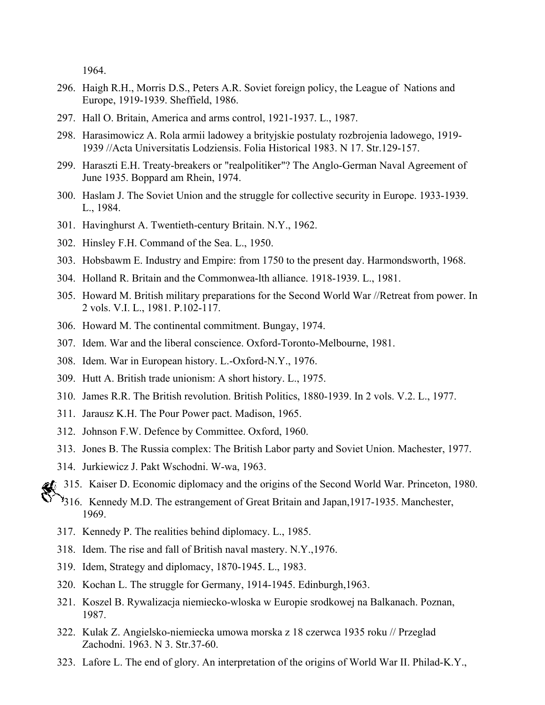1964.

- 296. Haigh R.H., Morris D.S., Peters A.R. Soviet foreign policy, the League of Nations and Europe, 1919-1939. Sheffield, 1986.
- 297. Hall O. Britain, America and arms control, 1921-1937. L., 1987.
- 298. Harasimowicz A. Rola armii ladowey a brityjskie postulaty rozbrojenia ladowego, 1919- 1939 //Acta Universitatis Lodziensis. Folia Historical 1983. N 17. Str.129-157.
- 299. Haraszti E.H. Treaty-breakers or "realpolitiker"? The Anglo-German Naval Agreement of June 1935. Boppard am Rhein, 1974.
- 300. Haslam J. The Soviet Union and the struggle for collective security in Europe. 1933-1939. L., 1984.
- 301. Havinghurst A. Twentieth-century Britain. N.Y., 1962.
- 302. Hinsley F.H. Command of the Sea. L., 1950.
- 303. Hobsbawm E. Industry and Empire: from 1750 to the present day. Harmondsworth, 1968.
- 304. Holland R. Britain and the Commonwea-lth alliance. 1918-1939. L., 1981.
- 305. Howard M. British military preparations for the Second World War //Retreat from power. In 2 vols. V.I. L., 1981. P.102-117.
- 306. Howard M. The continental commitment. Bungay, 1974.
- 307. Idem. War and the liberal conscience. Oxford-Toronto-Melbourne, 1981.
- 308. Idem. War in European history. L.-Oxford-N.Y., 1976.
- 309. Hutt A. British trade unionism: A short history. L., 1975.
- 310. James R.R. The British revolution. British Politics, 1880-1939. In 2 vols. V.2. L., 1977.
- 311. Jarausz K.H. The Pour Power pact. Madison, 1965.
- 312. Johnson F.W. Defence by Committee. Oxford, 1960.
- 313. Jones B. The Russia complex: The British Labor party and Soviet Union. Machester, 1977.
- 314. Jurkiewicz J. Pаkt Wschodni. W-wa, 1963.
- 315. Kaiser D. Economic diplomacy and the origins of the Second World War. Princeton, 1980.
	- 316. Kennedy M.D. The estrangement of Great Britain and Japan, 1917-1935. Manchester, 1969.
		- 317. Kennedy P. The realities behind diplomacy. L., 1985.
		- 318. Idem. The rise and fall of British naval mastery. N.Y.,1976.
		- 319. Idem, Strategy and diplomacy, 1870-1945. L., 1983.
		- 320. Kochan L. The struggle for Germany, 1914-1945. Edinburgh,1963.
	- 321. Koszel B. Rywalizacja niemiecko-wloska w Europie srodkowej na Balkanach. Poznan, 1987.
	- 322. Kulak Z. Angielsko-niemiecka umowa morska z 18 czerwca 1935 roku // Przeglad Zachodni. 1963. N 3. Str.37-60.
	- 323. Lafore L. The end of glory. An interpretation of the origins of World War II. Philad-K.Y.,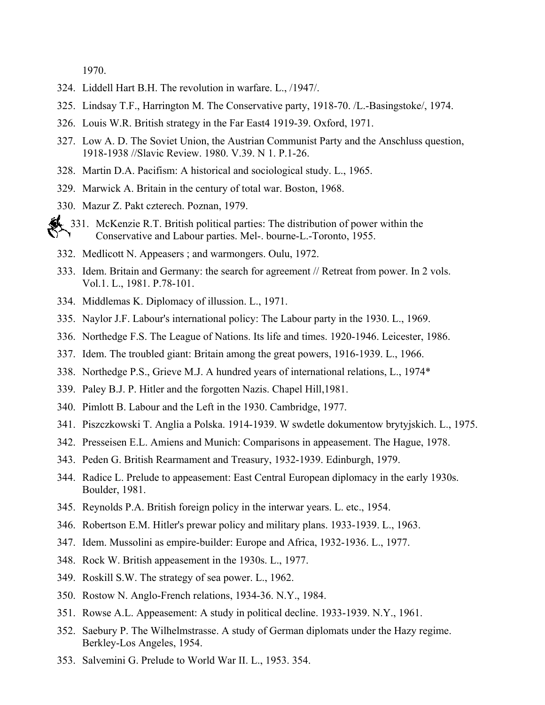1970.

- 324. Liddell Hart B.H. The revolution in warfare. L., /1947/.
- 325. Lindsay T.F., Harrington M. The Conservative party, 1918-70. /L.-Basingstoke/, 1974.
- 326. Louis W.R. British strategy in the Far East4 1919-39. Oxford, 1971.
- 327. Low A. D. The Soviet Union, the Austrian Communist Party and the Anschluss question, 1918-1938 //Slavic Review. 1980. V.39. N 1. P.1-26.
- 328. Martin D.A. Pacifism: A historical and sociological study. L., 1965.
- 329. Marwick A. Britain in the century of total war. Boston, 1968.
- 330. Mazur Z. Pakt czterech. Poznan, 1979.
- 331. McKenzie R.T. British political parties: The distribution of power within the Conservative and Labour parties. Mel-. bourne-L.-Toronto, 1955.
	- 332. Medlicott N. Appeasers ; and warmongers. Oulu, 1972.
	- 333. Idem. Britain and Germany: the search for agreement // Retreat from power. In 2 vols. Vol.1. L., 1981. P.78-101.
	- 334. Middlemas K. Diplomacy of illussion. L., 1971.
	- 335. Naylor J.F. Labour's international policy: The Labour party in the 1930. L., 1969.
	- 336. Northedge F.S. The League of Nations. Its life and times. 1920-1946. Leicester, 1986.
	- 337. Idem. The troubled giant: Britain among the great powers, 1916-1939. L., 1966.
	- 338. Northedge P.S., Grieve M.J. A hundred years of international relations, L., 1974\*
	- 339. Paley B.J. P. Hitler and the forgotten Nazis. Chapel Hill,1981.
	- 340. Pimlott B. Labour and the Left in the 1930. Cambridge, 1977.
	- 341. Piszczkowski T. Anglia a Polska. 1914-1939. W swdetle dokumentow brytyjskich. L., 1975.
	- 342. Presseisen E.L. Amiens and Munich: Comparisons in appeasement. The Hague, 1978.
	- 343. Peden G. British Rearmament and Treasury, 1932-1939. Edinburgh, 1979.
	- 344. Radice L. Prelude to appeasement: East Central European diplomacy in the early 1930s. Boulder, 1981.
	- 345. Reynolds P.A. British foreign policy in the interwar years. L. etc., 1954.
	- 346. Robertson E.M. Hitler's prewar policy and military plans. 1933-1939. L., 1963.
	- 347. Idem. Mussolini as empire-builder: Europe and Africa, 1932-1936. L., 1977.
	- 348. Rock W. British appeasement in the 1930s. L., 1977.
	- 349. Roskill S.W. The strategy of sea power. L., 1962.
	- 350. Rostow N. Anglo-French relations, 1934-36. N.Y., 1984.
	- 351. Rowse A.L. Appeasement: A study in political decline. 1933-1939. N.Y., 1961.
	- 352. Saebury P. The Wilhelmstrasse. A study of German diplomats under the Hazy regime. Berkley-Los Angeles, 1954.
	- 353. Salvemini G. Prelude to World War II. L., 1953. 354.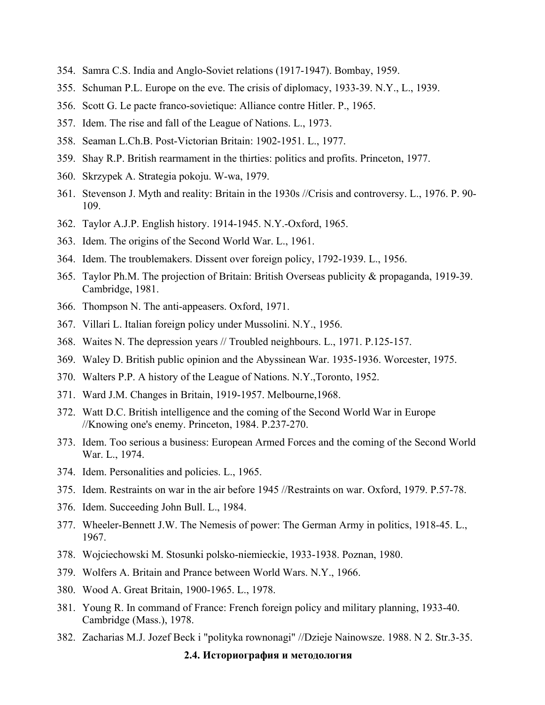- 354. Samra C.S. India and Anglo-Soviet relations (1917-1947). Bombay, 1959.
- 355. Schuman P.L. Europe on the eve. The crisis of diplomacy, 1933-39. N.Y., L., 1939.
- 356. Scott G. Le pacte franco-sovietique: Alliance contre Hitler. P., 1965.
- 357. Idem. The rise and fall of the League of Nations. L., 1973.
- 358. Seaman L.Ch.B. Post-Victorian Britain: 1902-1951. L., 1977.
- 359. Shay R.P. British rearmament in the thirties: politics and profits. Princeton, 1977.
- 360. Skrzypek A. Strategia pokoju. W-wa, 1979.
- 361. Stevenson J. Myth and reality: Britain in the 1930s //Crisis and controversy. L., 1976. P. 90- 109.
- 362. Taylor A.J.P. English history. 1914-1945. N.Y.-Oxford, 1965.
- 363. Idem. The origins of the Second World War. L., 1961.
- 364. Idem. The troublemakers. Dissent over foreign policy, 1792-1939. L., 1956.
- 365. Taylor Ph.M. The projection of Britain: British Overseas publicity & propaganda, 1919-39. Cambridge, 1981.
- 366. Thompson N. The anti-appeasers. Oxford, 1971.
- 367. Villari L. Italian foreign policy under Mussolini. N.Y., 1956.
- 368. Waites N. The depression years // Troubled neighbours. L., 1971. P.125-157.
- 369. Waley D. British public opinion and the Abyssinean War. 1935-1936. Worcester, 1975.
- 370. Walters P.P. A history of the League of Nations. N.Y.,Toronto, 1952.
- 371. Ward J.M. Changes in Britain, 1919-1957. Melbourne,1968.
- 372. Watt D.C. British intelligence and the coming of the Second World War in Europe //Knowing one's enemy. Princeton, 1984. P.237-270.
- 373. Idem. Too serious a business: European Armed Forces and the coming of the Second World War. L., 1974.
- 374. Idem. Personalities and policies. L., 1965.
- 375. Idem. Restraints on war in the air before 1945 //Restraints on war. Oxford, 1979. P.57-78.
- 376. Idem. Succeeding John Bull. L., 1984.
- 377. Wheeler-Bennett J.W. The Nemesis of power: The German Army in politics, 1918-45. L., 1967.
- 378. Wojciechowski M. Stosunki polsko-niemieckie, 1933-1938. Poznan, 1980.
- 379. Wolfers A. Britain and Prance between World Wars. N.Y., 1966.
- 380. Wood A. Great Britain, 1900-1965. L., 1978.
- 381. Young R. In command of France: French foreign policy and military planning, 1933-40. Cambridge (Mass.), 1978.
- 382. Zacharias M.J. Jozef Beck i "polityka rownonagi" //Dzieje Nainowsze. 1988. N 2. Str.3-35.

#### **2.4. Историография и методология**